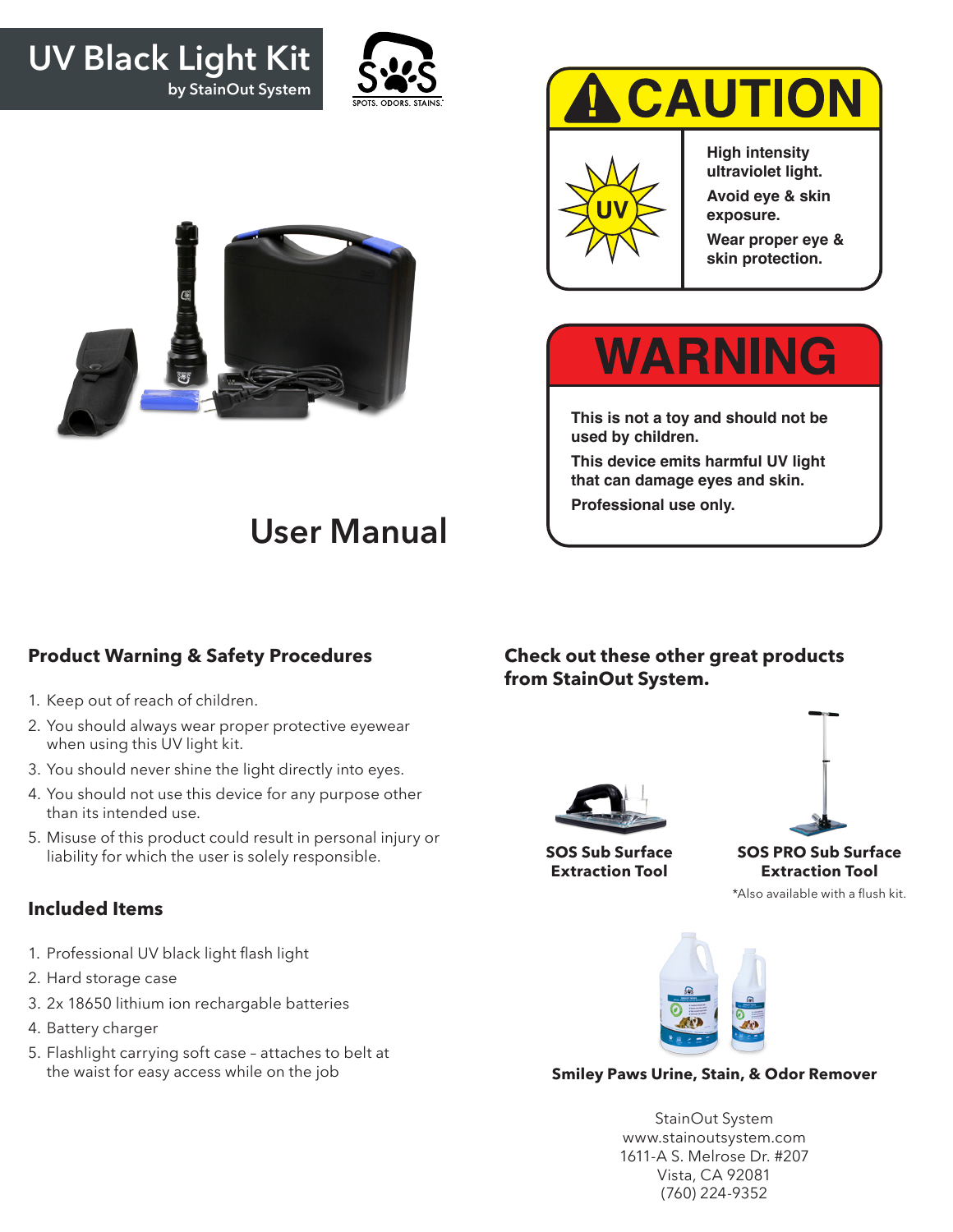### **UV Black Light Kit by StainOut System**





# **CAUTION**



**High intensity ultraviolet light.**

**Avoid eye & skin exposure.**

**Wear proper eye & skin protection.**

## **WARNING**

**This is not a toy and should not be used by children.**

**This device emits harmful UV light that can damage eyes and skin.**

**Professional use only.**

### **User Manual**

#### **Product Warning & Safety Procedures**

- 1. Keep out of reach of children.
- 2. You should always wear proper protective eyewear when using this UV light kit.
- 3. You should never shine the light directly into eyes.
- 4. You should not use this device for any purpose other than its intended use.
- 5. Misuse of this product could result in personal injury or liability for which the user is solely responsible.

#### **Included Items**

- 1. Professional UV black light flash light
- 2. Hard storage case
- 3. 2x 18650 lithium ion rechargable batteries
- 4. Battery charger
- 5. Flashlight carrying soft case attaches to belt at the waist for easy access while on the job

#### **Check out these other great products from StainOut System.**







**SOS PRO Sub Surface Extraction Tool**

\*Also available with a flush kit.



#### **Smiley Paws Urine, Stain, & Odor Remover**

StainOut System www.stainoutsystem.com 1611-A S. Melrose Dr. #207 Vista, CA 92081 (760) 224-9352